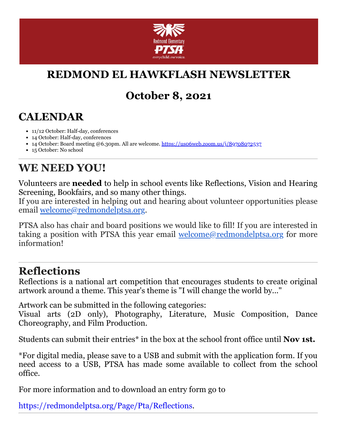

# **REDMOND EL HAWKFLASH NEWSLETTER**

## **October 8, 2021**

#### **CALENDAR**

- 11/12 October: Half-day, conferences
- 14 October: Half-day, conferences
- 14 October: Board meeting @6.30pm. All are welcome. [https://us06web.zoom.us/j/89708072537](https://cts.vresp.com/c/?RedmondElementaryPTS/e99592198c/f55aa07e44/dd5adf93e2)
- 15 October: No school

### **WE NEED YOU!**

Volunteers are **needed** to help in school events like Reflections, Vision and Hearing Screening, Bookfairs, and so many other things.

If you are interested in helping out and hearing about volunteer opportunities please email [welcome@redmondelptsa.org](mailto:welcome@redmondelptsa.org?subject=Volunteering).

PTSA also has chair and board positions we would like to fill! If you are interested in taking a position with PTSA this year email [welcome@redmondelptsa.org](mailto:welcome@redmondelptsa.org?subject=Chair%20and%20board) for more information!

#### **Reflections**

Reflections is a national art competition that encourages students to create original artwork around a theme. This year's theme is "I will change the world by..."

Artwork can be submitted in the following categories:

Visual arts (2D only), Photography, Literature, Music Composition, Dance Choreography, and Film Production.

Students can submit their entries\* in the box at the school front office until **Nov 1st.**

\*For digital media, please save to a USB and submit with the application form. If you need access to a USB, PTSA has made some available to collect from the school office.

For more information and to download an entry form go to

[https://redmondelptsa.org/Page/Pta/Reflections.](https://cts.vresp.com/c/?RedmondElementaryPTS/e99592198c/f55aa07e44/d5d6dc375b)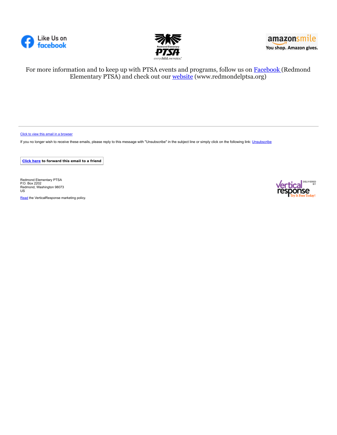





For more information and to keep up with PTSA events and programs, follow us on [Facebook](https://cts.vresp.com/c/?RedmondElementaryPTS/e99592198c/f55aa07e44/5ead3a79c0) (Redmond Elementary PTSA) and check out our [website](https://cts.vresp.com/c/?RedmondElementaryPTS/e99592198c/f55aa07e44/a21cbc7394) (www.redmondelptsa.org)

[Click to view this email in a browser](http://hosted.verticalresponse.com/649438/e99592198c/TEST/TEST/)

If you no longer wish to receive these emails, please reply to this message with "[Unsubscribe](https://cts.vresp.com/u?e99592198c/f55aa07e44//confirm)" in the subject line or simply click on the following link: Unsubscribe

**[Click here](http://oi.vresp.com/f2af/v4/send_to_friend.html?ch=e99592198c&lid=283376003&ldh=f55aa07e44) to forward this email to a friend**

Redmond Elementary PTSA P.O. Box 2202 Redmond, Washington 98073 US

[Read](https://verticalresponse.com/about/policy-and-terms) the VerticalResponse marketing policy.